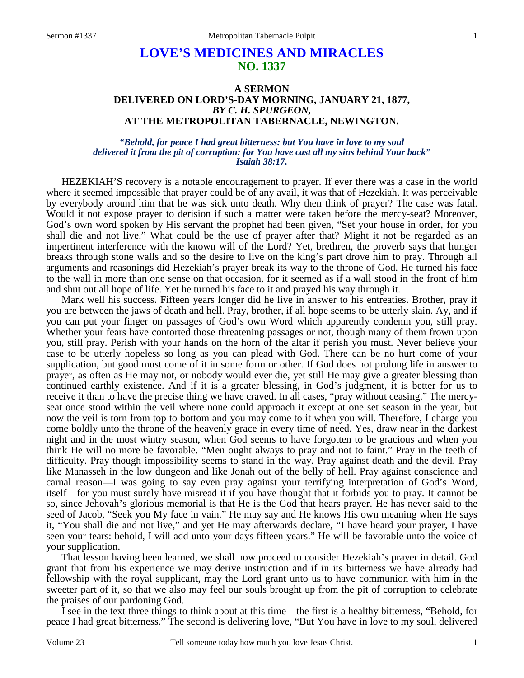## **LOVE'S MEDICINES AND MIRACLES NO. 1337**

## **A SERMON DELIVERED ON LORD'S-DAY MORNING, JANUARY 21, 1877,**  *BY C. H. SPURGEON,*  **AT THE METROPOLITAN TABERNACLE, NEWINGTON.**

## *"Behold, for peace I had great bitterness: but You have in love to my soul delivered it from the pit of corruption: for You have cast all my sins behind Your back" Isaiah 38:17.*

HEZEKIAH'S recovery is a notable encouragement to prayer. If ever there was a case in the world where it seemed impossible that prayer could be of any avail, it was that of Hezekiah. It was perceivable by everybody around him that he was sick unto death. Why then think of prayer? The case was fatal. Would it not expose prayer to derision if such a matter were taken before the mercy-seat? Moreover, God's own word spoken by His servant the prophet had been given, "Set your house in order, for you shall die and not live." What could be the use of prayer after that? Might it not be regarded as an impertinent interference with the known will of the Lord? Yet, brethren, the proverb says that hunger breaks through stone walls and so the desire to live on the king's part drove him to pray. Through all arguments and reasonings did Hezekiah's prayer break its way to the throne of God. He turned his face to the wall in more than one sense on that occasion, for it seemed as if a wall stood in the front of him and shut out all hope of life. Yet he turned his face to it and prayed his way through it.

Mark well his success. Fifteen years longer did he live in answer to his entreaties. Brother, pray if you are between the jaws of death and hell. Pray, brother, if all hope seems to be utterly slain. Ay, and if you can put your finger on passages of God's own Word which apparently condemn you, still pray. Whether your fears have contorted those threatening passages or not, though many of them frown upon you, still pray. Perish with your hands on the horn of the altar if perish you must. Never believe your case to be utterly hopeless so long as you can plead with God. There can be no hurt come of your supplication, but good must come of it in some form or other. If God does not prolong life in answer to prayer, as often as He may not, or nobody would ever die, yet still He may give a greater blessing than continued earthly existence. And if it is a greater blessing, in God's judgment, it is better for us to receive it than to have the precise thing we have craved. In all cases, "pray without ceasing." The mercyseat once stood within the veil where none could approach it except at one set season in the year, but now the veil is torn from top to bottom and you may come to it when you will. Therefore, I charge you come boldly unto the throne of the heavenly grace in every time of need. Yes, draw near in the darkest night and in the most wintry season, when God seems to have forgotten to be gracious and when you think He will no more be favorable. "Men ought always to pray and not to faint." Pray in the teeth of difficulty. Pray though impossibility seems to stand in the way. Pray against death and the devil. Pray like Manasseh in the low dungeon and like Jonah out of the belly of hell. Pray against conscience and carnal reason—I was going to say even pray against your terrifying interpretation of God's Word, itself—for you must surely have misread it if you have thought that it forbids you to pray. It cannot be so, since Jehovah's glorious memorial is that He is the God that hears prayer. He has never said to the seed of Jacob, "Seek you My face in vain." He may say and He knows His own meaning when He says it, "You shall die and not live," and yet He may afterwards declare, "I have heard your prayer, I have seen your tears: behold, I will add unto your days fifteen years." He will be favorable unto the voice of your supplication.

That lesson having been learned, we shall now proceed to consider Hezekiah's prayer in detail. God grant that from his experience we may derive instruction and if in its bitterness we have already had fellowship with the royal supplicant, may the Lord grant unto us to have communion with him in the sweeter part of it, so that we also may feel our souls brought up from the pit of corruption to celebrate the praises of our pardoning God.

I see in the text three things to think about at this time—the first is a healthy bitterness, "Behold, for peace I had great bitterness." The second is delivering love, "But You have in love to my soul, delivered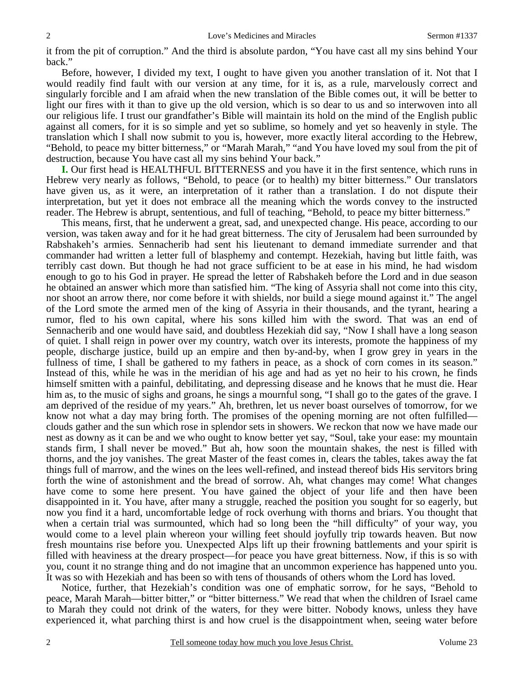it from the pit of corruption." And the third is absolute pardon, "You have cast all my sins behind Your back."

Before, however, I divided my text, I ought to have given you another translation of it. Not that I would readily find fault with our version at any time, for it is, as a rule, marvelously correct and singularly forcible and I am afraid when the new translation of the Bible comes out, it will be better to light our fires with it than to give up the old version, which is so dear to us and so interwoven into all our religious life. I trust our grandfather's Bible will maintain its hold on the mind of the English public against all comers, for it is so simple and yet so sublime, so homely and yet so heavenly in style. The translation which I shall now submit to you is, however, more exactly literal according to the Hebrew, "Behold, to peace my bitter bitterness," or "Marah Marah," "and You have loved my soul from the pit of destruction, because You have cast all my sins behind Your back."

**I.** Our first head is HEALTHFUL BITTERNESS and you have it in the first sentence, which runs in Hebrew very nearly as follows, "Behold, to peace (or to health) my bitter bitterness." Our translators have given us, as it were, an interpretation of it rather than a translation. I do not dispute their interpretation, but yet it does not embrace all the meaning which the words convey to the instructed reader. The Hebrew is abrupt, sententious, and full of teaching, "Behold, to peace my bitter bitterness."

This means, first, that he underwent a great, sad, and unexpected change. His peace, according to our version, was taken away and for it he had great bitterness. The city of Jerusalem had been surrounded by Rabshakeh's armies. Sennacherib had sent his lieutenant to demand immediate surrender and that commander had written a letter full of blasphemy and contempt. Hezekiah, having but little faith, was terribly cast down. But though he had not grace sufficient to be at ease in his mind, he had wisdom enough to go to his God in prayer. He spread the letter of Rabshakeh before the Lord and in due season he obtained an answer which more than satisfied him. "The king of Assyria shall not come into this city, nor shoot an arrow there, nor come before it with shields, nor build a siege mound against it." The angel of the Lord smote the armed men of the king of Assyria in their thousands, and the tyrant, hearing a rumor, fled to his own capital, where his sons killed him with the sword. That was an end of Sennacherib and one would have said, and doubtless Hezekiah did say, "Now I shall have a long season of quiet. I shall reign in power over my country, watch over its interests, promote the happiness of my people, discharge justice, build up an empire and then by-and-by, when I grow grey in years in the fullness of time, I shall be gathered to my fathers in peace, as a shock of corn comes in its season." Instead of this, while he was in the meridian of his age and had as yet no heir to his crown, he finds himself smitten with a painful, debilitating, and depressing disease and he knows that he must die. Hear him as, to the music of sighs and groans, he sings a mournful song, "I shall go to the gates of the grave. I am deprived of the residue of my years." Ah, brethren, let us never boast ourselves of tomorrow, for we know not what a day may bring forth. The promises of the opening morning are not often fulfilled clouds gather and the sun which rose in splendor sets in showers. We reckon that now we have made our nest as downy as it can be and we who ought to know better yet say, "Soul, take your ease: my mountain stands firm, I shall never be moved." But ah, how soon the mountain shakes, the nest is filled with thorns, and the joy vanishes. The great Master of the feast comes in, clears the tables, takes away the fat things full of marrow, and the wines on the lees well-refined, and instead thereof bids His servitors bring forth the wine of astonishment and the bread of sorrow. Ah, what changes may come! What changes have come to some here present. You have gained the object of your life and then have been disappointed in it. You have, after many a struggle, reached the position you sought for so eagerly, but now you find it a hard, uncomfortable ledge of rock overhung with thorns and briars. You thought that when a certain trial was surmounted, which had so long been the "hill difficulty" of your way, you would come to a level plain whereon your willing feet should joyfully trip towards heaven. But now fresh mountains rise before you. Unexpected Alps lift up their frowning battlements and your spirit is filled with heaviness at the dreary prospect—for peace you have great bitterness. Now, if this is so with you, count it no strange thing and do not imagine that an uncommon experience has happened unto you. It was so with Hezekiah and has been so with tens of thousands of others whom the Lord has loved.

Notice, further, that Hezekiah's condition was one of emphatic sorrow, for he says, "Behold to peace, Marah Marah—bitter bitter," or "bitter bitterness." We read that when the children of Israel came to Marah they could not drink of the waters, for they were bitter. Nobody knows, unless they have experienced it, what parching thirst is and how cruel is the disappointment when, seeing water before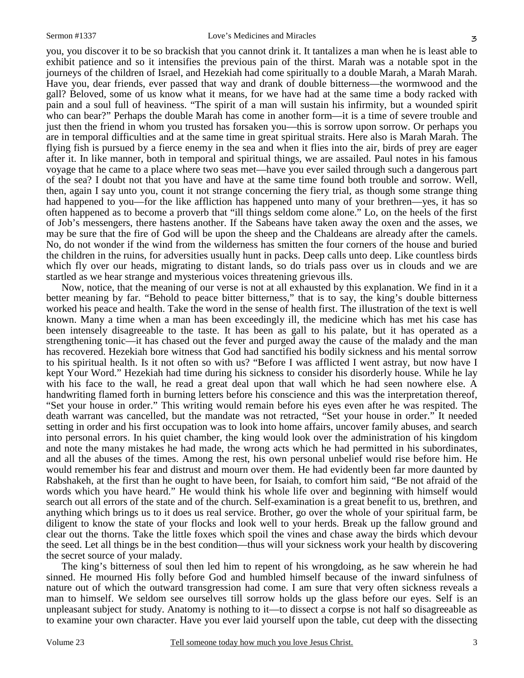you, you discover it to be so brackish that you cannot drink it. It tantalizes a man when he is least able to exhibit patience and so it intensifies the previous pain of the thirst. Marah was a notable spot in the journeys of the children of Israel, and Hezekiah had come spiritually to a double Marah, a Marah Marah. Have you, dear friends, ever passed that way and drank of double bitterness—the wormwood and the gall? Beloved, some of us know what it means, for we have had at the same time a body racked with pain and a soul full of heaviness. "The spirit of a man will sustain his infirmity, but a wounded spirit who can bear?" Perhaps the double Marah has come in another form—it is a time of severe trouble and just then the friend in whom you trusted has forsaken you—this is sorrow upon sorrow. Or perhaps you are in temporal difficulties and at the same time in great spiritual straits. Here also is Marah Marah. The flying fish is pursued by a fierce enemy in the sea and when it flies into the air, birds of prey are eager after it. In like manner, both in temporal and spiritual things, we are assailed. Paul notes in his famous voyage that he came to a place where two seas met—have you ever sailed through such a dangerous part of the sea? I doubt not that you have and have at the same time found both trouble and sorrow. Well, then, again I say unto you, count it not strange concerning the fiery trial, as though some strange thing had happened to you—for the like affliction has happened unto many of your brethren—yes, it has so often happened as to become a proverb that "ill things seldom come alone." Lo, on the heels of the first of Job's messengers, there hastens another. If the Sabeans have taken away the oxen and the asses, we may be sure that the fire of God will be upon the sheep and the Chaldeans are already after the camels. No, do not wonder if the wind from the wilderness has smitten the four corners of the house and buried the children in the ruins, for adversities usually hunt in packs. Deep calls unto deep. Like countless birds which fly over our heads, migrating to distant lands, so do trials pass over us in clouds and we are startled as we hear strange and mysterious voices threatening grievous ills.

Now, notice, that the meaning of our verse is not at all exhausted by this explanation. We find in it a better meaning by far. "Behold to peace bitter bitterness," that is to say, the king's double bitterness worked his peace and health. Take the word in the sense of health first. The illustration of the text is well known. Many a time when a man has been exceedingly ill, the medicine which has met his case has been intensely disagreeable to the taste. It has been as gall to his palate, but it has operated as a strengthening tonic—it has chased out the fever and purged away the cause of the malady and the man has recovered. Hezekiah bore witness that God had sanctified his bodily sickness and his mental sorrow to his spiritual health. Is it not often so with us? "Before I was afflicted I went astray, but now have I kept Your Word." Hezekiah had time during his sickness to consider his disorderly house. While he lay with his face to the wall, he read a great deal upon that wall which he had seen nowhere else. A handwriting flamed forth in burning letters before his conscience and this was the interpretation thereof, "Set your house in order." This writing would remain before his eyes even after he was respited. The death warrant was cancelled, but the mandate was not retracted, "Set your house in order." It needed setting in order and his first occupation was to look into home affairs, uncover family abuses, and search into personal errors. In his quiet chamber, the king would look over the administration of his kingdom and note the many mistakes he had made, the wrong acts which he had permitted in his subordinates, and all the abuses of the times. Among the rest, his own personal unbelief would rise before him. He would remember his fear and distrust and mourn over them. He had evidently been far more daunted by Rabshakeh, at the first than he ought to have been, for Isaiah, to comfort him said, "Be not afraid of the words which you have heard." He would think his whole life over and beginning with himself would search out all errors of the state and of the church. Self-examination is a great benefit to us, brethren, and anything which brings us to it does us real service. Brother, go over the whole of your spiritual farm, be diligent to know the state of your flocks and look well to your herds. Break up the fallow ground and clear out the thorns. Take the little foxes which spoil the vines and chase away the birds which devour the seed. Let all things be in the best condition—thus will your sickness work your health by discovering the secret source of your malady.

The king's bitterness of soul then led him to repent of his wrongdoing, as he saw wherein he had sinned. He mourned His folly before God and humbled himself because of the inward sinfulness of nature out of which the outward transgression had come. I am sure that very often sickness reveals a man to himself. We seldom see ourselves till sorrow holds up the glass before our eyes. Self is an unpleasant subject for study. Anatomy is nothing to it—to dissect a corpse is not half so disagreeable as to examine your own character. Have you ever laid yourself upon the table, cut deep with the dissecting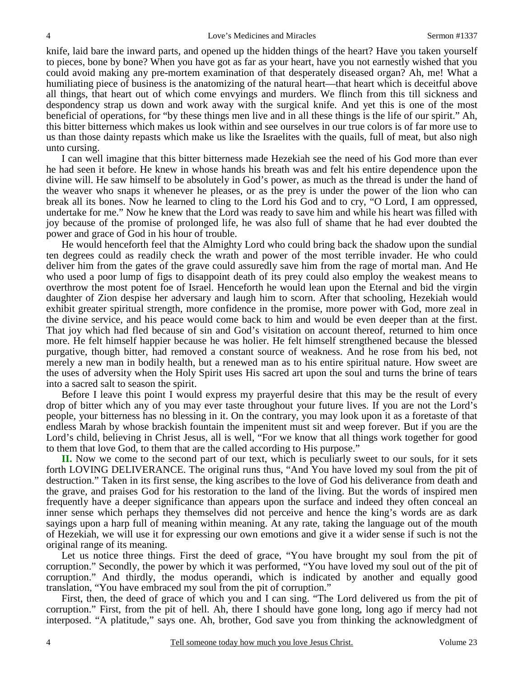knife, laid bare the inward parts, and opened up the hidden things of the heart? Have you taken yourself to pieces, bone by bone? When you have got as far as your heart, have you not earnestly wished that you could avoid making any pre-mortem examination of that desperately diseased organ? Ah, me! What a humiliating piece of business is the anatomizing of the natural heart—that heart which is deceitful above all things, that heart out of which come envyings and murders. We flinch from this till sickness and despondency strap us down and work away with the surgical knife. And yet this is one of the most beneficial of operations, for "by these things men live and in all these things is the life of our spirit." Ah, this bitter bitterness which makes us look within and see ourselves in our true colors is of far more use to us than those dainty repasts which make us like the Israelites with the quails, full of meat, but also nigh unto cursing.

I can well imagine that this bitter bitterness made Hezekiah see the need of his God more than ever he had seen it before. He knew in whose hands his breath was and felt his entire dependence upon the divine will. He saw himself to be absolutely in God's power, as much as the thread is under the hand of the weaver who snaps it whenever he pleases, or as the prey is under the power of the lion who can break all its bones. Now he learned to cling to the Lord his God and to cry, "O Lord, I am oppressed, undertake for me." Now he knew that the Lord was ready to save him and while his heart was filled with joy because of the promise of prolonged life, he was also full of shame that he had ever doubted the power and grace of God in his hour of trouble.

He would henceforth feel that the Almighty Lord who could bring back the shadow upon the sundial ten degrees could as readily check the wrath and power of the most terrible invader. He who could deliver him from the gates of the grave could assuredly save him from the rage of mortal man. And He who used a poor lump of figs to disappoint death of its prey could also employ the weakest means to overthrow the most potent foe of Israel. Henceforth he would lean upon the Eternal and bid the virgin daughter of Zion despise her adversary and laugh him to scorn. After that schooling, Hezekiah would exhibit greater spiritual strength, more confidence in the promise, more power with God, more zeal in the divine service, and his peace would come back to him and would be even deeper than at the first. That joy which had fled because of sin and God's visitation on account thereof, returned to him once more. He felt himself happier because he was holier. He felt himself strengthened because the blessed purgative, though bitter, had removed a constant source of weakness. And he rose from his bed, not merely a new man in bodily health, but a renewed man as to his entire spiritual nature. How sweet are the uses of adversity when the Holy Spirit uses His sacred art upon the soul and turns the brine of tears into a sacred salt to season the spirit.

Before I leave this point I would express my prayerful desire that this may be the result of every drop of bitter which any of you may ever taste throughout your future lives. If you are not the Lord's people, your bitterness has no blessing in it. On the contrary, you may look upon it as a foretaste of that endless Marah by whose brackish fountain the impenitent must sit and weep forever. But if you are the Lord's child, believing in Christ Jesus, all is well, "For we know that all things work together for good to them that love God, to them that are the called according to His purpose."

**II.** Now we come to the second part of our text, which is peculiarly sweet to our souls, for it sets forth LOVING DELIVERANCE. The original runs thus, "And You have loved my soul from the pit of destruction." Taken in its first sense, the king ascribes to the love of God his deliverance from death and the grave, and praises God for his restoration to the land of the living. But the words of inspired men frequently have a deeper significance than appears upon the surface and indeed they often conceal an inner sense which perhaps they themselves did not perceive and hence the king's words are as dark sayings upon a harp full of meaning within meaning. At any rate, taking the language out of the mouth of Hezekiah, we will use it for expressing our own emotions and give it a wider sense if such is not the original range of its meaning.

Let us notice three things. First the deed of grace, "You have brought my soul from the pit of corruption." Secondly, the power by which it was performed, "You have loved my soul out of the pit of corruption." And thirdly, the modus operandi, which is indicated by another and equally good translation, "You have embraced my soul from the pit of corruption."

First, then, the deed of grace of which you and I can sing. "The Lord delivered us from the pit of corruption." First, from the pit of hell. Ah, there I should have gone long, long ago if mercy had not interposed. "A platitude," says one. Ah, brother, God save you from thinking the acknowledgment of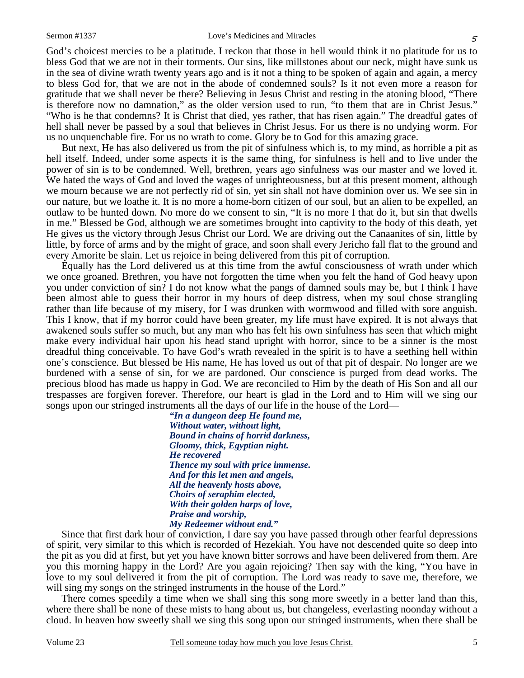God's choicest mercies to be a platitude. I reckon that those in hell would think it no platitude for us to bless God that we are not in their torments. Our sins, like millstones about our neck, might have sunk us in the sea of divine wrath twenty years ago and is it not a thing to be spoken of again and again, a mercy to bless God for, that we are not in the abode of condemned souls? Is it not even more a reason for gratitude that we shall never be there? Believing in Jesus Christ and resting in the atoning blood, "There is therefore now no damnation," as the older version used to run, "to them that are in Christ Jesus." "Who is he that condemns? It is Christ that died, yes rather, that has risen again." The dreadful gates of hell shall never be passed by a soul that believes in Christ Jesus. For us there is no undying worm. For us no unquenchable fire. For us no wrath to come. Glory be to God for this amazing grace.

But next, He has also delivered us from the pit of sinfulness which is, to my mind, as horrible a pit as hell itself. Indeed, under some aspects it is the same thing, for sinfulness is hell and to live under the power of sin is to be condemned. Well, brethren, years ago sinfulness was our master and we loved it. We hated the ways of God and loved the wages of unrighteousness, but at this present moment, although we mourn because we are not perfectly rid of sin, yet sin shall not have dominion over us. We see sin in our nature, but we loathe it. It is no more a home-born citizen of our soul, but an alien to be expelled, an outlaw to be hunted down. No more do we consent to sin, "It is no more I that do it, but sin that dwells in me." Blessed be God, although we are sometimes brought into captivity to the body of this death, yet He gives us the victory through Jesus Christ our Lord. We are driving out the Canaanites of sin, little by little, by force of arms and by the might of grace, and soon shall every Jericho fall flat to the ground and every Amorite be slain. Let us rejoice in being delivered from this pit of corruption.

Equally has the Lord delivered us at this time from the awful consciousness of wrath under which we once groaned. Brethren, you have not forgotten the time when you felt the hand of God heavy upon you under conviction of sin? I do not know what the pangs of damned souls may be, but I think I have been almost able to guess their horror in my hours of deep distress, when my soul chose strangling rather than life because of my misery, for I was drunken with wormwood and filled with sore anguish. This I know, that if my horror could have been greater, my life must have expired. It is not always that awakened souls suffer so much, but any man who has felt his own sinfulness has seen that which might make every individual hair upon his head stand upright with horror, since to be a sinner is the most dreadful thing conceivable. To have God's wrath revealed in the spirit is to have a seething hell within one's conscience. But blessed be His name, He has loved us out of that pit of despair. No longer are we burdened with a sense of sin, for we are pardoned. Our conscience is purged from dead works. The precious blood has made us happy in God. We are reconciled to Him by the death of His Son and all our trespasses are forgiven forever. Therefore, our heart is glad in the Lord and to Him will we sing our songs upon our stringed instruments all the days of our life in the house of the Lord—

> *"In a dungeon deep He found me, Without water, without light, Bound in chains of horrid darkness, Gloomy, thick, Egyptian night. He recovered Thence my soul with price immense. And for this let men and angels, All the heavenly hosts above, Choirs of seraphim elected, With their golden harps of love, Praise and worship, My Redeemer without end."*

Since that first dark hour of conviction, I dare say you have passed through other fearful depressions of spirit, very similar to this which is recorded of Hezekiah. You have not descended quite so deep into the pit as you did at first, but yet you have known bitter sorrows and have been delivered from them. Are you this morning happy in the Lord? Are you again rejoicing? Then say with the king, "You have in love to my soul delivered it from the pit of corruption. The Lord was ready to save me, therefore, we will sing my songs on the stringed instruments in the house of the Lord."

There comes speedily a time when we shall sing this song more sweetly in a better land than this, where there shall be none of these mists to hang about us, but changeless, everlasting noonday without a cloud. In heaven how sweetly shall we sing this song upon our stringed instruments, when there shall be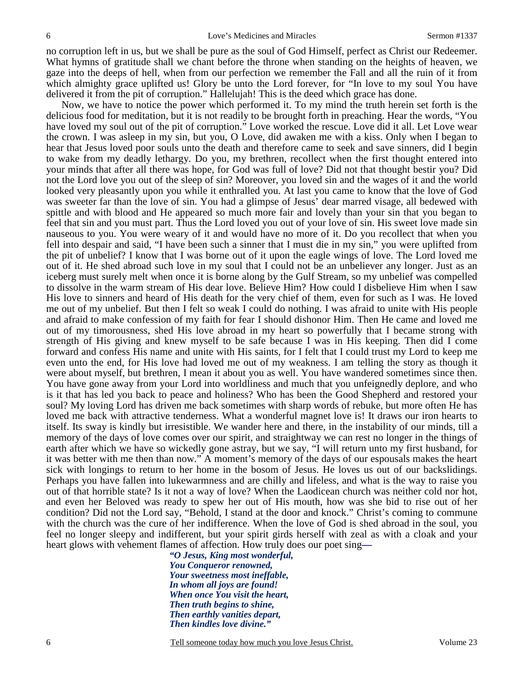no corruption left in us, but we shall be pure as the soul of God Himself, perfect as Christ our Redeemer. What hymns of gratitude shall we chant before the throne when standing on the heights of heaven, we gaze into the deeps of hell, when from our perfection we remember the Fall and all the ruin of it from which almighty grace uplifted us! Glory be unto the Lord forever, for "In love to my soul You have delivered it from the pit of corruption." Hallelujah! This is the deed which grace has done.

Now, we have to notice the power which performed it. To my mind the truth herein set forth is the delicious food for meditation, but it is not readily to be brought forth in preaching. Hear the words, "You have loved my soul out of the pit of corruption." Love worked the rescue. Love did it all. Let Love wear the crown. I was asleep in my sin, but you, O Love, did awaken me with a kiss. Only when I began to hear that Jesus loved poor souls unto the death and therefore came to seek and save sinners, did I begin to wake from my deadly lethargy. Do you, my brethren, recollect when the first thought entered into your minds that after all there was hope, for God was full of love? Did not that thought bestir you? Did not the Lord love you out of the sleep of sin? Moreover, you loved sin and the wages of it and the world looked very pleasantly upon you while it enthralled you. At last you came to know that the love of God was sweeter far than the love of sin. You had a glimpse of Jesus' dear marred visage, all bedewed with spittle and with blood and He appeared so much more fair and lovely than your sin that you began to feel that sin and you must part. Thus the Lord loved you out of your love of sin. His sweet love made sin nauseous to you. You were weary of it and would have no more of it. Do you recollect that when you fell into despair and said, "I have been such a sinner that I must die in my sin," you were uplifted from the pit of unbelief? I know that I was borne out of it upon the eagle wings of love. The Lord loved me out of it. He shed abroad such love in my soul that I could not be an unbeliever any longer. Just as an iceberg must surely melt when once it is borne along by the Gulf Stream, so my unbelief was compelled to dissolve in the warm stream of His dear love. Believe Him? How could I disbelieve Him when I saw His love to sinners and heard of His death for the very chief of them, even for such as I was. He loved me out of my unbelief. But then I felt so weak I could do nothing. I was afraid to unite with His people and afraid to make confession of my faith for fear I should dishonor Him. Then He came and loved me out of my timorousness, shed His love abroad in my heart so powerfully that I became strong with strength of His giving and knew myself to be safe because I was in His keeping. Then did I come forward and confess His name and unite with His saints, for I felt that I could trust my Lord to keep me even unto the end, for His love had loved me out of my weakness. I am telling the story as though it were about myself, but brethren, I mean it about you as well. You have wandered sometimes since then. You have gone away from your Lord into worldliness and much that you unfeignedly deplore, and who is it that has led you back to peace and holiness? Who has been the Good Shepherd and restored your soul? My loving Lord has driven me back sometimes with sharp words of rebuke, but more often He has loved me back with attractive tenderness. What a wonderful magnet love is! It draws our iron hearts to itself. Its sway is kindly but irresistible. We wander here and there, in the instability of our minds, till a memory of the days of love comes over our spirit, and straightway we can rest no longer in the things of earth after which we have so wickedly gone astray, but we say, "I will return unto my first husband, for it was better with me then than now." A moment's memory of the days of our espousals makes the heart sick with longings to return to her home in the bosom of Jesus. He loves us out of our backslidings. Perhaps you have fallen into lukewarmness and are chilly and lifeless, and what is the way to raise you out of that horrible state? Is it not a way of love? When the Laodicean church was neither cold nor hot, and even her Beloved was ready to spew her out of His mouth, how was she bid to rise out of her condition? Did not the Lord say, "Behold, I stand at the door and knock." Christ's coming to commune with the church was the cure of her indifference. When the love of God is shed abroad in the soul, you feel no longer sleepy and indifferent, but your spirit girds herself with zeal as with a cloak and your heart glows with vehement flames of affection. How truly does our poet sing*—*

> *"O Jesus, King most wonderful, You Conqueror renowned, Your sweetness most ineffable, In whom all joys are found! When once You visit the heart, Then truth begins to shine, Then earthly vanities depart, Then kindles love divine."*

6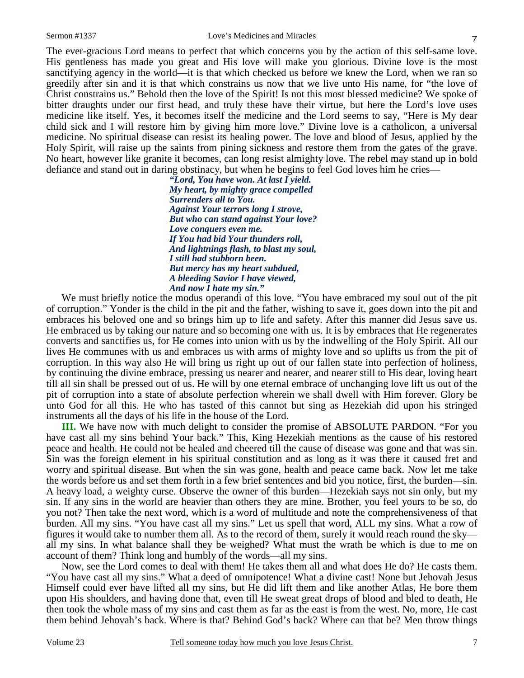7

The ever-gracious Lord means to perfect that which concerns you by the action of this self-same love. His gentleness has made you great and His love will make you glorious. Divine love is the most sanctifying agency in the world—it is that which checked us before we knew the Lord, when we ran so greedily after sin and it is that which constrains us now that we live unto His name, for "the love of Christ constrains us." Behold then the love of the Spirit! Is not this most blessed medicine? We spoke of bitter draughts under our first head, and truly these have their virtue, but here the Lord's love uses medicine like itself. Yes, it becomes itself the medicine and the Lord seems to say, "Here is My dear child sick and I will restore him by giving him more love." Divine love is a catholicon, a universal medicine. No spiritual disease can resist its healing power. The love and blood of Jesus, applied by the Holy Spirit, will raise up the saints from pining sickness and restore them from the gates of the grave. No heart, however like granite it becomes, can long resist almighty love. The rebel may stand up in bold defiance and stand out in daring obstinacy, but when he begins to feel God loves him he cries—

*"Lord, You have won. At last I yield. My heart, by mighty grace compelled Surrenders all to You. Against Your terrors long I strove, But who can stand against Your love? Love conquers even me. If You had bid Your thunders roll, And lightnings flash, to blast my soul, I still had stubborn been. But mercy has my heart subdued, A bleeding Savior I have viewed, And now I hate my sin."* 

We must briefly notice the modus operandi of this love. "You have embraced my soul out of the pit of corruption." Yonder is the child in the pit and the father, wishing to save it, goes down into the pit and embraces his beloved one and so brings him up to life and safety. After this manner did Jesus save us. He embraced us by taking our nature and so becoming one with us. It is by embraces that He regenerates converts and sanctifies us, for He comes into union with us by the indwelling of the Holy Spirit. All our lives He communes with us and embraces us with arms of mighty love and so uplifts us from the pit of corruption. In this way also He will bring us right up out of our fallen state into perfection of holiness, by continuing the divine embrace, pressing us nearer and nearer, and nearer still to His dear, loving heart till all sin shall be pressed out of us. He will by one eternal embrace of unchanging love lift us out of the pit of corruption into a state of absolute perfection wherein we shall dwell with Him forever. Glory be unto God for all this. He who has tasted of this cannot but sing as Hezekiah did upon his stringed instruments all the days of his life in the house of the Lord.

**III.** We have now with much delight to consider the promise of ABSOLUTE PARDON. "For you have cast all my sins behind Your back." This, King Hezekiah mentions as the cause of his restored peace and health. He could not be healed and cheered till the cause of disease was gone and that was sin. Sin was the foreign element in his spiritual constitution and as long as it was there it caused fret and worry and spiritual disease. But when the sin was gone, health and peace came back. Now let me take the words before us and set them forth in a few brief sentences and bid you notice, first, the burden—sin. A heavy load, a weighty curse. Observe the owner of this burden—Hezekiah says not sin only, but my sin. If any sins in the world are heavier than others they are mine. Brother, you feel yours to be so, do you not? Then take the next word, which is a word of multitude and note the comprehensiveness of that burden. All my sins. "You have cast all my sins." Let us spell that word, ALL my sins. What a row of figures it would take to number them all. As to the record of them, surely it would reach round the sky all my sins. In what balance shall they be weighed? What must the wrath be which is due to me on account of them? Think long and humbly of the words—all my sins.

Now, see the Lord comes to deal with them! He takes them all and what does He do? He casts them. "You have cast all my sins." What a deed of omnipotence! What a divine cast! None but Jehovah Jesus Himself could ever have lifted all my sins, but He did lift them and like another Atlas, He bore them upon His shoulders, and having done that, even till He sweat great drops of blood and bled to death, He then took the whole mass of my sins and cast them as far as the east is from the west. No, more, He cast them behind Jehovah's back. Where is that? Behind God's back? Where can that be? Men throw things